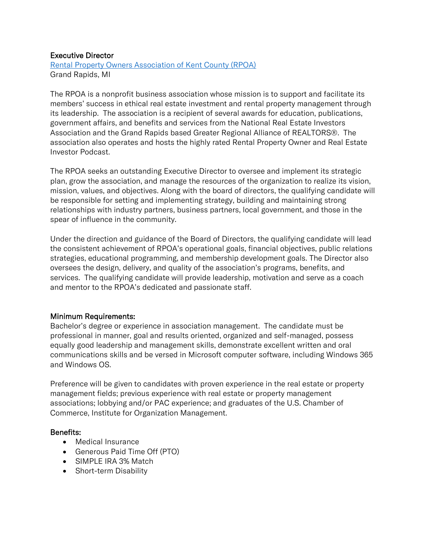# Executive Director

[Rental Property Owners Association of Kent County \(RPOA\)](http://www.rpoaonline.org/) Grand Rapids, MI

The RPOA is a nonprofit business association whose mission is to support and facilitate its members' success in ethical real estate investment and rental property management through its leadership. The association is a recipient of several awards for education, publications, government affairs, and benefits and services from the National Real Estate Investors Association and the Grand Rapids based Greater Regional Alliance of REALTORS®. The association also operates and hosts the highly rated Rental Property Owner and Real Estate Investor Podcast.

The RPOA seeks an outstanding Executive Director to oversee and implement its strategic plan, grow the association, and manage the resources of the organization to realize its vision, mission, values, and objectives. Along with the board of directors, the qualifying candidate will be responsible for setting and implementing strategy, building and maintaining strong relationships with industry partners, business partners, local government, and those in the spear of influence in the community.

Under the direction and guidance of the Board of Directors, the qualifying candidate will lead the consistent achievement of RPOA's operational goals, financial objectives, public relations strategies, educational programming, and membership development goals. The Director also oversees the design, delivery, and quality of the association's programs, benefits, and services. The qualifying candidate will provide leadership, motivation and serve as a coach and mentor to the RPOA's dedicated and passionate staff.

### Minimum Requirements:

Bachelor's degree or experience in association management. The candidate must be professional in manner, goal and results oriented, organized and self-managed, possess equally good leadership and management skills, demonstrate excellent written and oral communications skills and be versed in Microsoft computer software, including Windows 365 and Windows OS.

Preference will be given to candidates with proven experience in the real estate or property management fields; previous experience with real estate or property management associations; lobbying and/or PAC experience; and graduates of the U.S. Chamber of Commerce, Institute for Organization Management.

### Benefits:

- Medical Insurance
- Generous Paid Time Off (PTO)
- SIMPLE IRA 3% Match
- Short-term Disability